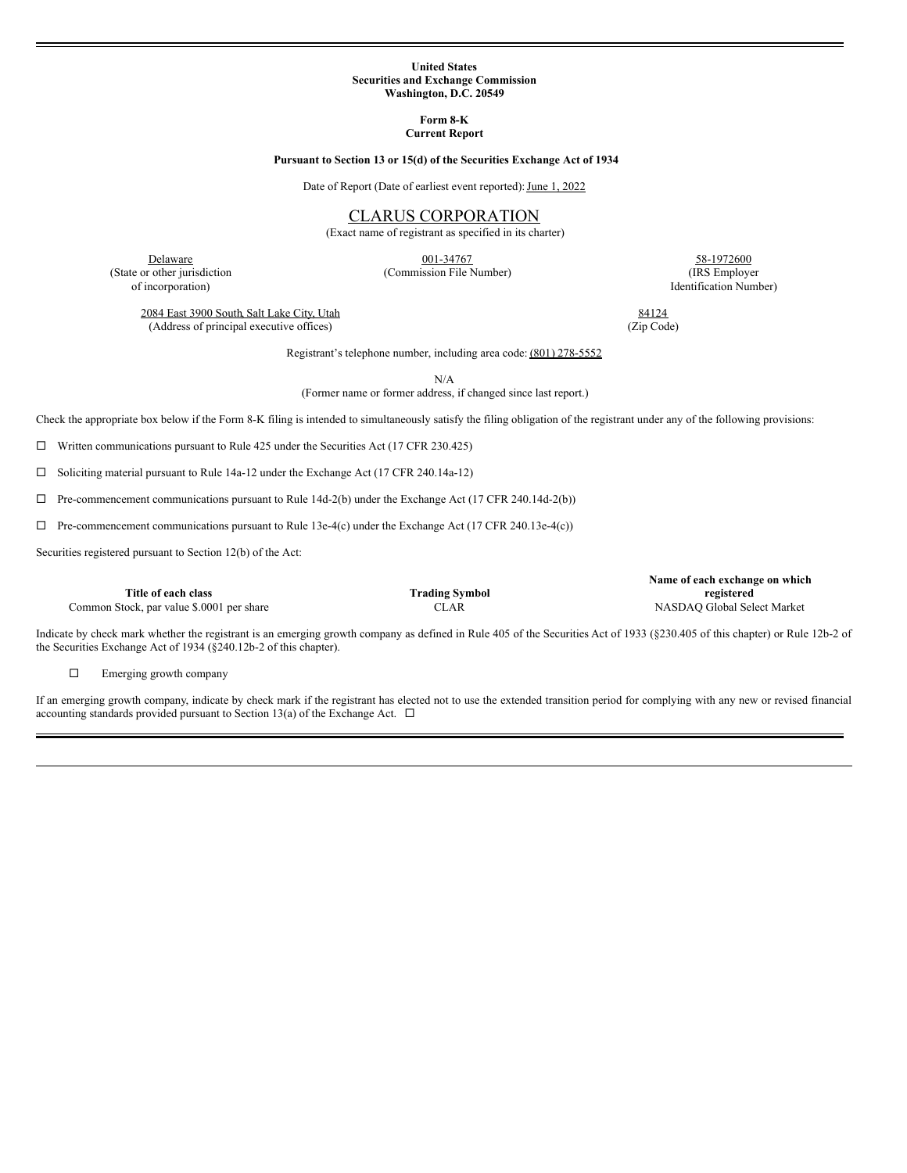#### **United States Securities and Exchange Commission Washington, D.C. 20549**

**Form 8-K Current Report**

### **Pursuant to Section 13 or 15(d) of the Securities Exchange Act of 1934**

Date of Report (Date of earliest event reported): June 1, 2022

# CLARUS CORPORATION

(Exact name of registrant as specified in its charter)

001-34767

Delaware (State or other jurisdiction of incorporation)

(Commission File Number)

58-1972600 (IRS Employer Identification Number)

2084 East 3900 South, Salt Lake City, Utah (Address of principal executive offices)

84124 (Zip Code)

Registrant's telephone number, including area code: (801) 278-5552

N/A

(Former name or former address, if changed since last report.)

Check the appropriate box below if the Form 8-K filing is intended to simultaneously satisfy the filing obligation of the registrant under any of the following provisions:

 $\Box$  Written communications pursuant to Rule 425 under the Securities Act (17 CFR 230.425)

□ Soliciting material pursuant to Rule 14a-12 under the Exchange Act (17 CFR 240.14a-12)

 $\Box$  Pre-commencement communications pursuant to Rule 14d-2(b) under the Exchange Act (17 CFR 240.14d-2(b))

 $\Box$  Pre-commencement communications pursuant to Rule 13e-4(c) under the Exchange Act (17 CFR 240.13e-4(c))

Securities registered pursuant to Section 12(b) of the Act:

**Title of each class Trading Symbol**

**Name of each exchange on which registered** Common Stock, par value \$.0001 per share CLAR CLAR NASDAQ Global Select Market

Indicate by check mark whether the registrant is an emerging growth company as defined in Rule 405 of the Securities Act of 1933 (§230.405 of this chapter) or Rule 12b-2 of the Securities Exchange Act of 1934 (§240.12b-2 of this chapter).

 $\square$  Emerging growth company

If an emerging growth company, indicate by check mark if the registrant has elected not to use the extended transition period for complying with any new or revised financial accounting standards provided pursuant to Section 13(a) of the Exchange Act.  $\Box$